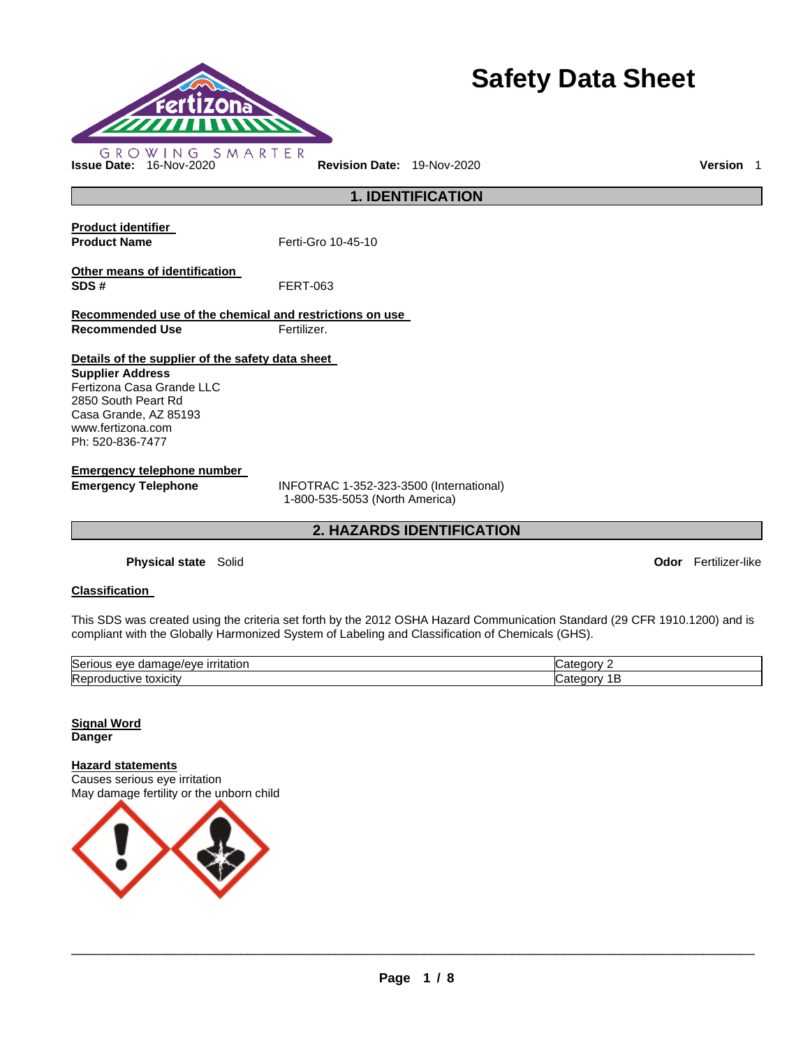

# **Safety Data Sheet**

**1. IDENTIFICATION** 

**Product identifier Product Name Ferti-Gro 10-45-10** 

**Other means of identification SDS #** FERT-063

**Recommended use of the chemical and restrictions on use Recommended Use Fertilizer.** 

**Details of the supplier of the safety data sheet** 

**Supplier Address** Fertizona Casa Grande LLC 2850 South Peart Rd Casa Grande, AZ 85193 www.fertizona.com Ph: 520-836-7477

**Emergency telephone number** 

**Emergency Telephone** INFOTRAC 1-352-323-3500 (International) 1-800-535-5053 (North America)

**2. HAZARDS IDENTIFICATION** 

**Physical state** Solid **Odor** Fertilizer-like

### **Classification**

This SDS was created using the criteria set forth by the 2012 OSHA Hazard Communication Standard (29 CFR 1910.1200) and is compliant with the Globally Harmonized System of Labeling and Classification of Chemicals (GHS).

| <b>Sen</b><br><u>ırrıtatıor</u><br>eve<br>10110<br>паг<br>на | z |
|--------------------------------------------------------------|---|
| <b>IRer</b><br>τοχιςιτν<br>- 11<br>uv.                       | r |

**Signal Word Danger** 

**Hazard statements**

Causes serious eye irritation May damage fertility or the unborn child

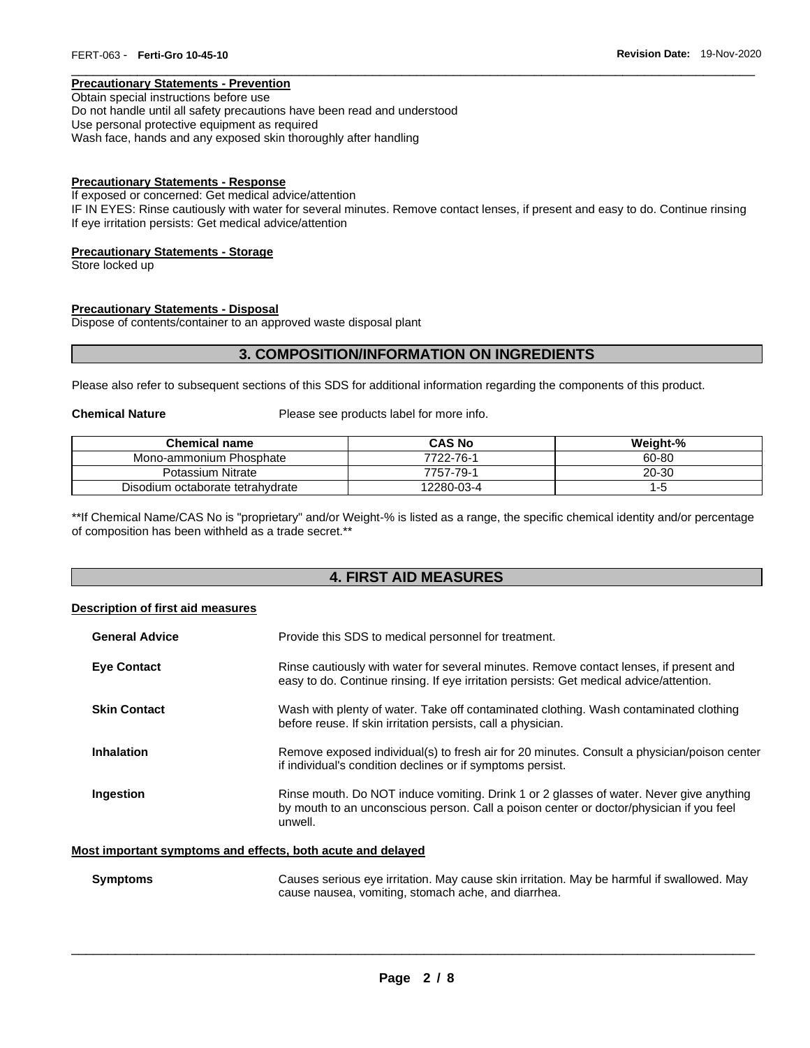### **Precautionary Statements - Prevention**

Obtain special instructions before use Do not handle until all safety precautions have been read and understood Use personal protective equipment as required Wash face, hands and any exposed skin thoroughly after handling

### **Precautionary Statements - Response**

If exposed or concerned: Get medical advice/attention IF IN EYES: Rinse cautiously with water for several minutes. Remove contact lenses, if present and easy to do. Continue rinsing If eye irritation persists: Get medical advice/attention

\_\_\_\_\_\_\_\_\_\_\_\_\_\_\_\_\_\_\_\_\_\_\_\_\_\_\_\_\_\_\_\_\_\_\_\_\_\_\_\_\_\_\_\_\_\_\_\_\_\_\_\_\_\_\_\_\_\_\_\_\_\_\_\_\_\_\_\_\_\_\_\_\_\_\_\_\_\_\_\_\_\_\_\_\_\_\_\_\_\_\_\_\_

#### **Precautionary Statements - Storage**

Store locked up

### **Precautionary Statements - Disposal**

Dispose of contents/container to an approved waste disposal plant

### **3. COMPOSITION/INFORMATION ON INGREDIENTS**

Please also refer to subsequent sections of this SDS for additional information regarding the components of this product.

**Chemical Nature** Please see products label for more info.

| <b>Chemical name</b>             | <b>CAS No</b> | Weight-% |
|----------------------------------|---------------|----------|
| Mono-ammonium Phosphate          | 7722-76-1     | 60-80    |
| Potassium Nitrate                | 7757-79-1     | 20-30    |
| Disodium octaborate tetrahydrate | 12280-03-4    | כ- ו     |

\*\*If Chemical Name/CAS No is "proprietary" and/or Weight-% is listed as a range, the specific chemical identity and/or percentage of composition has been withheld as a trade secret.\*\*

### **4. FIRST AID MEASURES**

### **Description of first aid measures**

| <b>General Advice</b> | Provide this SDS to medical personnel for treatment.                                                                                                                                          |
|-----------------------|-----------------------------------------------------------------------------------------------------------------------------------------------------------------------------------------------|
| <b>Eve Contact</b>    | Rinse cautiously with water for several minutes. Remove contact lenses, if present and<br>easy to do. Continue rinsing. If eye irritation persists: Get medical advice/attention.             |
| <b>Skin Contact</b>   | Wash with plenty of water. Take off contaminated clothing. Wash contaminated clothing<br>before reuse. If skin irritation persists, call a physician.                                         |
| <b>Inhalation</b>     | Remove exposed individual(s) to fresh air for 20 minutes. Consult a physician/poison center<br>if individual's condition declines or if symptoms persist.                                     |
| Ingestion             | Rinse mouth. Do NOT induce vomiting. Drink 1 or 2 glasses of water. Never give anything<br>by mouth to an unconscious person. Call a poison center or doctor/physician if you feel<br>unwell. |
|                       | Most important symptoms and effects, both acute and delayed                                                                                                                                   |

**Symptoms** Causes serious eye irritation. May cause skin irritation. May be harmful if swallowed. May cause nausea, vomiting, stomach ache, and diarrhea.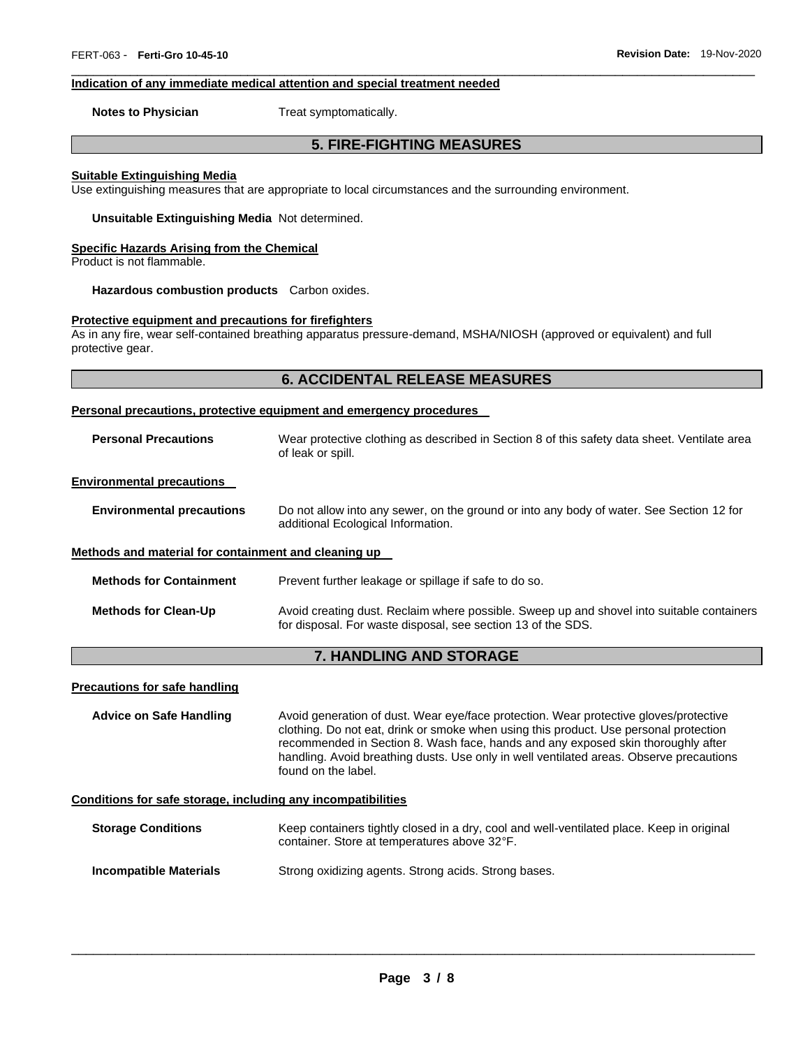#### **Indication of any immediate medical attention and special treatment needed**

**Notes to Physician**  Treat symptomatically.

### **5. FIRE-FIGHTING MEASURES**

\_\_\_\_\_\_\_\_\_\_\_\_\_\_\_\_\_\_\_\_\_\_\_\_\_\_\_\_\_\_\_\_\_\_\_\_\_\_\_\_\_\_\_\_\_\_\_\_\_\_\_\_\_\_\_\_\_\_\_\_\_\_\_\_\_\_\_\_\_\_\_\_\_\_\_\_\_\_\_\_\_\_\_\_\_\_\_\_\_\_\_\_\_

#### **Suitable Extinguishing Media**

Use extinguishing measures that are appropriate to local circumstances and the surrounding environment.

**Unsuitable Extinguishing Media** Not determined.

#### **Specific Hazards Arising from the Chemical**

Product is not flammable.

**Hazardous combustion products** Carbon oxides.

#### **Protective equipment and precautions for firefighters**

As in any fire, wear self-contained breathing apparatus pressure-demand, MSHA/NIOSH (approved or equivalent) and full protective gear.

### **6. ACCIDENTAL RELEASE MEASURES**

#### **Personal precautions, protective equipment and emergency procedures**

| <b>Personal Precautions</b>                          | Wear protective clothing as described in Section 8 of this safety data sheet. Ventilate area<br>of leak or spill.              |  |
|------------------------------------------------------|--------------------------------------------------------------------------------------------------------------------------------|--|
| <b>Environmental precautions</b>                     |                                                                                                                                |  |
| <b>Environmental precautions</b>                     | Do not allow into any sewer, on the ground or into any body of water. See Section 12 for<br>additional Ecological Information. |  |
| Methods and material for containment and cleaning up |                                                                                                                                |  |
| <b>Methods for Containment</b>                       | Prevent further leakage or spillage if safe to do so.                                                                          |  |

### **Methods for Clean-Up** Avoid creating dust. Reclaim where possible. Sweep up and shovel into suitable containers for disposal. For waste disposal, see section 13 of the SDS.

### **7. HANDLING AND STORAGE**

#### **Precautions for safe handling**

**Advice on Safe Handling** Avoid generation of dust. Wear eye/face protection. Wear protective gloves/protective clothing. Do not eat, drink or smoke when using this product. Use personal protection recommended in Section 8. Wash face, hands and any exposed skin thoroughly after handling. Avoid breathing dusts. Use only in well ventilated areas. Observe precautions found on the label.

#### **Conditions for safe storage, including any incompatibilities**

| <b>Storage Conditions</b>     | Keep containers tightly closed in a dry, cool and well-ventilated place. Keep in original<br>container. Store at temperatures above 32°F. |
|-------------------------------|-------------------------------------------------------------------------------------------------------------------------------------------|
| <b>Incompatible Materials</b> | Strong oxidizing agents. Strong acids. Strong bases.                                                                                      |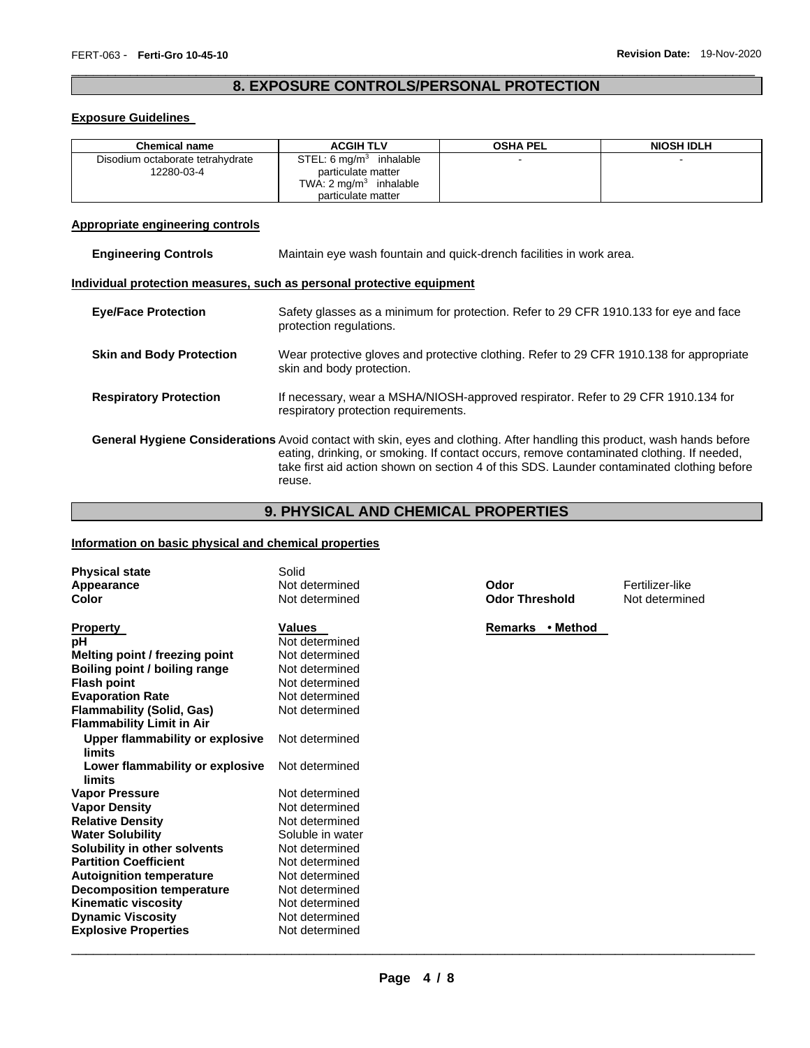### \_\_\_\_\_\_\_\_\_\_\_\_\_\_\_\_\_\_\_\_\_\_\_\_\_\_\_\_\_\_\_\_\_\_\_\_\_\_\_\_\_\_\_\_\_\_\_\_\_\_\_\_\_\_\_\_\_\_\_\_\_\_\_\_\_\_\_\_\_\_\_\_\_\_\_\_\_\_\_\_\_\_\_\_\_\_\_\_\_\_\_\_\_ **8. EXPOSURE CONTROLS/PERSONAL PROTECTION**

### **Exposure Guidelines**

| <b>Chemical name</b>             | <b>ACGIH TLV</b>                   | <b>OSHA PEL</b>          | <b>NIOSH IDLH</b> |
|----------------------------------|------------------------------------|--------------------------|-------------------|
| Disodium octaborate tetrahydrate | STEL: $6 \text{ mg/m}^3$ inhalable | $\overline{\phantom{0}}$ |                   |
| 12280-03-4                       | particulate matter                 |                          |                   |
|                                  | TWA: $2 \text{ mg/m}^3$ inhalable  |                          |                   |
|                                  | particulate matter                 |                          |                   |

### **Appropriate engineering controls**

| <b>Engineering Controls</b> | Maintain eve wash fountain and quick-drench facilities in work area. |
|-----------------------------|----------------------------------------------------------------------|
|-----------------------------|----------------------------------------------------------------------|

### **Individual protection measures, such as personal protective equipment**

| <b>Eye/Face Protection</b>      | Safety glasses as a minimum for protection. Refer to 29 CFR 1910.133 for eye and face<br>protection regulations.                                                                                                                                                                                                                      |
|---------------------------------|---------------------------------------------------------------------------------------------------------------------------------------------------------------------------------------------------------------------------------------------------------------------------------------------------------------------------------------|
| <b>Skin and Body Protection</b> | Wear protective gloves and protective clothing. Refer to 29 CFR 1910.138 for appropriate<br>skin and body protection.                                                                                                                                                                                                                 |
| <b>Respiratory Protection</b>   | If necessary, wear a MSHA/NIOSH-approved respirator. Refer to 29 CFR 1910.134 for<br>respiratory protection requirements.                                                                                                                                                                                                             |
|                                 | <b>General Hygiene Considerations</b> Avoid contact with skin, eyes and clothing. After handling this product, wash hands before<br>eating, drinking, or smoking. If contact occurs, remove contaminated clothing. If needed,<br>take first aid action shown on section 4 of this SDS. Launder contaminated clothing before<br>reuse. |

## **9. PHYSICAL AND CHEMICAL PROPERTIES**

### **Information on basic physical and chemical properties**

| <b>Physical state</b><br>Appearance<br>Color | Solid<br>Not determined<br>Not determined | Odor<br><b>Odor Threshold</b> | Fertilizer-like<br>Not determined |
|----------------------------------------------|-------------------------------------------|-------------------------------|-----------------------------------|
| <b>Property</b>                              | <b>Values</b>                             | Remarks<br>• Method           |                                   |
| рH                                           | Not determined<br>Not determined          |                               |                                   |
| Melting point / freezing point               |                                           |                               |                                   |
| Boiling point / boiling range                | Not determined                            |                               |                                   |
| <b>Flash point</b>                           | Not determined                            |                               |                                   |
| <b>Evaporation Rate</b>                      | Not determined                            |                               |                                   |
| <b>Flammability (Solid, Gas)</b>             | Not determined                            |                               |                                   |
| <b>Flammability Limit in Air</b>             |                                           |                               |                                   |
| Upper flammability or explosive              | Not determined                            |                               |                                   |
| limits                                       |                                           |                               |                                   |
| Lower flammability or explosive<br>limits    | Not determined                            |                               |                                   |
| <b>Vapor Pressure</b>                        | Not determined                            |                               |                                   |
| <b>Vapor Density</b>                         | Not determined                            |                               |                                   |
| <b>Relative Density</b>                      | Not determined                            |                               |                                   |
| <b>Water Solubility</b>                      | Soluble in water                          |                               |                                   |
| Solubility in other solvents                 | Not determined                            |                               |                                   |
| <b>Partition Coefficient</b>                 | Not determined                            |                               |                                   |
| <b>Autoignition temperature</b>              | Not determined                            |                               |                                   |
| <b>Decomposition temperature</b>             | Not determined                            |                               |                                   |
| <b>Kinematic viscosity</b>                   | Not determined                            |                               |                                   |
| <b>Dynamic Viscosity</b>                     | Not determined                            |                               |                                   |
| <b>Explosive Properties</b>                  | Not determined                            |                               |                                   |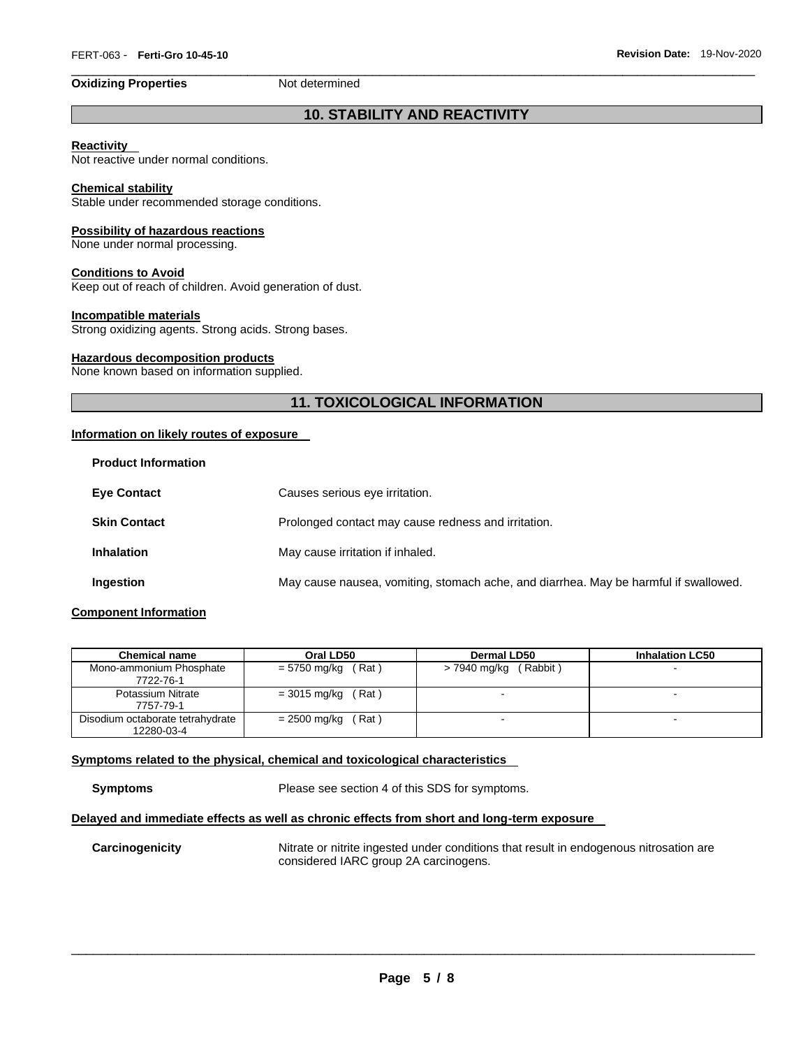\_\_\_\_\_\_\_\_\_\_\_\_\_\_\_\_\_\_\_\_\_\_\_\_\_\_\_\_\_\_\_\_\_\_\_\_\_\_\_\_\_\_\_\_\_\_\_\_\_\_\_\_\_\_\_\_\_\_\_\_\_\_\_\_\_\_\_\_\_\_\_\_\_\_\_\_\_\_\_\_\_\_\_\_\_\_\_\_\_\_\_\_\_

### **10. STABILITY AND REACTIVITY**

### **Reactivity**

Not reactive under normal conditions.

### **Chemical stability**

Stable under recommended storage conditions.

### **Possibility of hazardous reactions**

None under normal processing.

### **Conditions to Avoid**

Keep out of reach of children. Avoid generation of dust.

#### **Incompatible materials**

Strong oxidizing agents. Strong acids. Strong bases.

### **Hazardous decomposition products**

None known based on information supplied.

### **11. TOXICOLOGICAL INFORMATION**

### **Information on likely routes of exposure**

| <b>Product Information</b> |                                                                                      |
|----------------------------|--------------------------------------------------------------------------------------|
| <b>Eve Contact</b>         | Causes serious eye irritation.                                                       |
| <b>Skin Contact</b>        | Prolonged contact may cause redness and irritation.                                  |
| <b>Inhalation</b>          | May cause irritation if inhaled.                                                     |
| Ingestion                  | May cause nausea, vomiting, stomach ache, and diarrhea. May be harmful if swallowed. |
|                            |                                                                                      |

### **Component Information**

| <b>Chemical name</b>                           | Oral LD50             | <b>Dermal LD50</b>       | <b>Inhalation LC50</b> |
|------------------------------------------------|-----------------------|--------------------------|------------------------|
| Mono-ammonium Phosphate<br>7722-76-1           | $= 5750$ mg/kg (Rat)  | (Rabbit)<br>> 7940 mg/kg |                        |
| Potassium Nitrate<br>7757-79-1                 | $=$ 3015 mg/kg (Rat)  |                          |                        |
| Disodium octaborate tetrahydrate<br>12280-03-4 | (Rat)<br>= 2500 mg/kg |                          | -                      |

### **Symptoms related to the physical, chemical and toxicological characteristics**

**Symptoms** Please see section 4 of this SDS for symptoms.

### **Delayed and immediate effects as well as chronic effects from short and long-term exposure**

**Carcinogenicity** Nitrate or nitrite ingested under conditions that result in endogenous nitrosation are considered IARC group 2A carcinogens.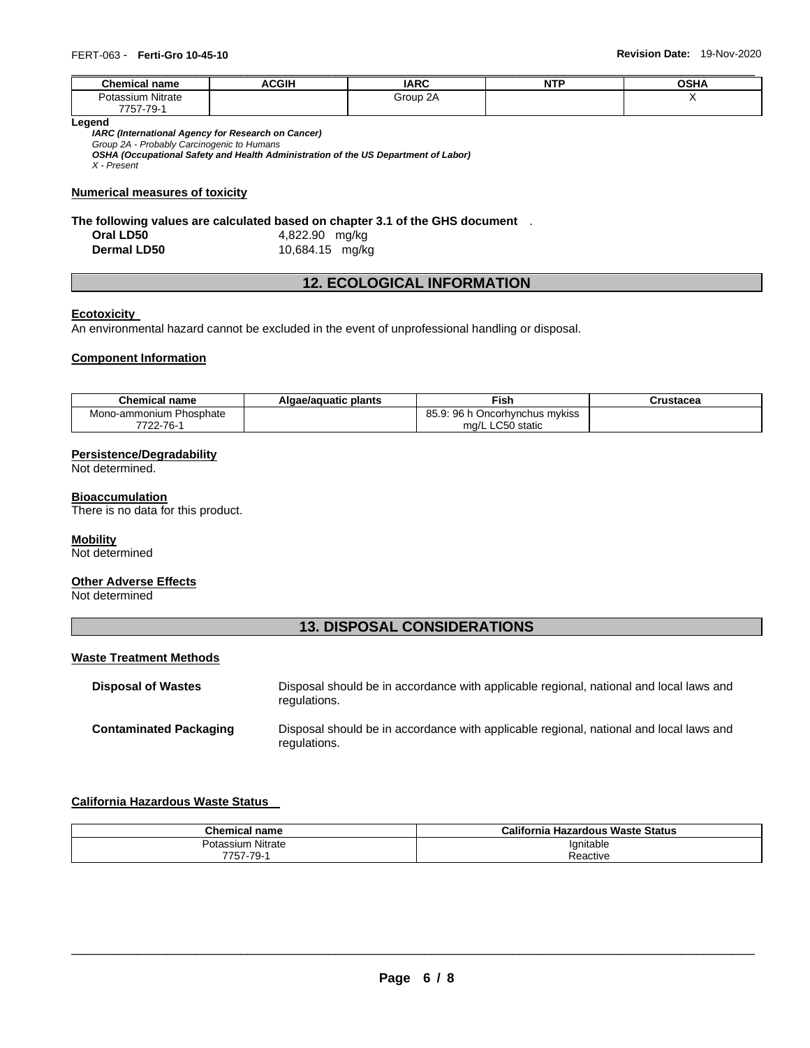| <b>Chemical name</b> | <b>ACGIH</b> | <b>IARC</b> | <b>NTP</b> | OSHA |
|----------------------|--------------|-------------|------------|------|
| Potassium Nitrate    |              | Group 2A    |            | . .  |
| 7757-79-1            |              |             |            |      |

**Legend** 

*IARC (International Agency for Research on Cancer) Group 2A - Probably Carcinogenic to Humans* 

*OSHA (Occupational Safety and Health Administration of the US Department of Labor)*

*X - Present* 

### **Numerical measures of toxicity**

# **The following values are calculated based on chapter 3.1 of the GHS document** .

**Oral LD50** 4,822.90 mg/kg **Dermal LD50** 10,684.15 mg/kg

### **12. ECOLOGICAL INFORMATION**

### **Ecotoxicity**

An environmental hazard cannot be excluded in the event of unprofessional handling or disposal.

### **Component Information**

| <b>Chemical name</b>    | Algae/aguatic plants | <b>Fish</b>                                | Crustacea |
|-------------------------|----------------------|--------------------------------------------|-----------|
| Mono-ammonium Phosphate |                      | ᅂᇟ<br>9: 96 h Oncorhvnchus mykiss<br>00.Y. |           |
| 7722-76-1               |                      | mg/L LC50 static                           |           |

### **Persistence/Degradability**

Not determined.

### **Bioaccumulation**

There is no data for this product.

### **Mobility**

Not determined

### **Other Adverse Effects**

Not determined

### **13. DISPOSAL CONSIDERATIONS**

### **Waste Treatment Methods**

| <b>Disposal of Wastes</b>     | Disposal should be in accordance with applicable regional, national and local laws and<br>regulations. |
|-------------------------------|--------------------------------------------------------------------------------------------------------|
| <b>Contaminated Packaging</b> | Disposal should be in accordance with applicable regional, national and local laws and<br>regulations. |

### **California Hazardous Waste Status**

| <b>Chemical name</b> | เ Hazardous Waste Status<br>California |
|----------------------|----------------------------------------|
| Nitrate<br>Potassium | Ignitable                              |
| 7757-79-             | Reactive                               |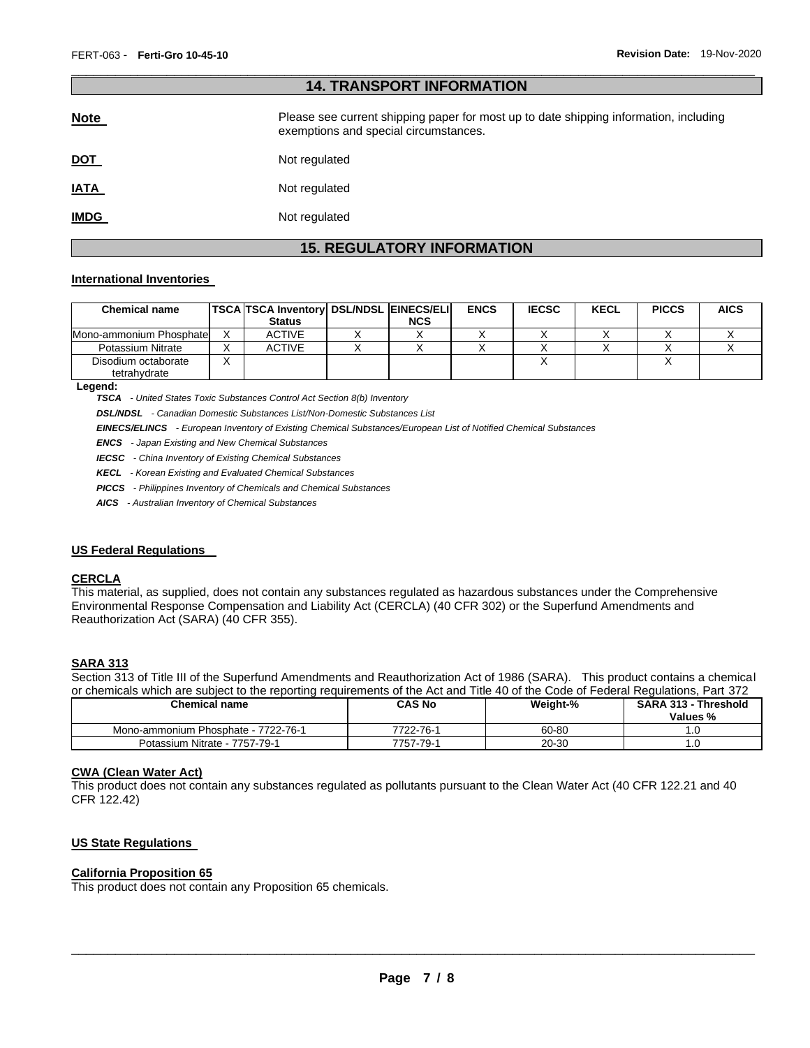| 14. IKANSPUKI INFUKWATIUN |                                                                                                                                |  |  |  |
|---------------------------|--------------------------------------------------------------------------------------------------------------------------------|--|--|--|
| <b>Note</b>               | Please see current shipping paper for most up to date shipping information, including<br>exemptions and special circumstances. |  |  |  |
| <u>DOT</u>                | Not regulated                                                                                                                  |  |  |  |
| <u>IATA</u>               | Not regulated                                                                                                                  |  |  |  |
| <b>IMDG</b>               | Not regulated                                                                                                                  |  |  |  |

\_\_\_\_\_\_\_\_\_\_\_\_\_\_\_\_\_\_\_\_\_\_\_\_\_\_\_\_\_\_\_\_\_\_\_\_\_\_\_\_\_\_\_\_\_\_\_\_\_\_\_\_\_\_\_\_\_\_\_\_\_\_\_\_\_\_\_\_\_\_\_\_\_\_\_\_\_\_\_\_\_\_\_\_\_\_\_\_\_\_\_\_\_

**14. TRANSPORT INFORMATION** 

## **15. REGULATORY INFORMATION**

### **International Inventories**

| <b>Chemical name</b>                | <b>TSCA TSCA Inventory DSL/NDSL EINECS/ELI</b><br><b>Status</b> | <b>NCS</b> | <b>ENCS</b> | <b>IECSC</b> | <b>KECL</b> | <b>PICCS</b> | <b>AICS</b> |
|-------------------------------------|-----------------------------------------------------------------|------------|-------------|--------------|-------------|--------------|-------------|
| Mono-ammonium Phosphate             | <b>ACTIVE</b>                                                   |            |             |              |             |              |             |
| Potassium Nitrate                   | <b>ACTIVE</b>                                                   |            |             |              |             |              |             |
| Disodium octaborate<br>tetrahydrate |                                                                 |            |             |              |             |              |             |

**Legend:** 

*TSCA - United States Toxic Substances Control Act Section 8(b) Inventory* 

*DSL/NDSL - Canadian Domestic Substances List/Non-Domestic Substances List* 

*EINECS/ELINCS - European Inventory of Existing Chemical Substances/European List of Notified Chemical Substances* 

*ENCS - Japan Existing and New Chemical Substances* 

*IECSC - China Inventory of Existing Chemical Substances* 

*KECL - Korean Existing and Evaluated Chemical Substances* 

*PICCS - Philippines Inventory of Chemicals and Chemical Substances* 

*AICS - Australian Inventory of Chemical Substances* 

### **US Federal Regulations**

### **CERCLA**

This material, as supplied, does not contain any substances regulated as hazardous substances under the Comprehensive Environmental Response Compensation and Liability Act (CERCLA) (40 CFR 302) or the Superfund Amendments and Reauthorization Act (SARA) (40 CFR 355).

### **SARA 313**

Section 313 of Title III of the Superfund Amendments and Reauthorization Act of 1986 (SARA). This product contains a chemical or chemicals which are subject to the reporting requirements of the Act and Title 40 of the Code of Federal Regulations, Part 372

| or orionmodio minori dio odojootto tho roporting roganomonto or tho riot dira Titlo. To or the oodo or rodonal rogalditorio, ridit or E |           |          |                                         |  |  |  |
|-----------------------------------------------------------------------------------------------------------------------------------------|-----------|----------|-----------------------------------------|--|--|--|
| <b>Chemical name</b>                                                                                                                    | CAS No    | Weight-% | <b>SARA 313 - Threshold</b><br>Values % |  |  |  |
| Mono-ammonium Phosphate - 7722-76-1                                                                                                     | 7722-76-1 | 60-80    |                                         |  |  |  |
| Potassium Nitrate - 7757-79-1                                                                                                           | 7757-79-1 | 20-30    | 1.U                                     |  |  |  |

### **CWA (Clean Water Act)**

This product does not contain any substances regulated as pollutants pursuant to the Clean Water Act (40 CFR 122.21 and 40 CFR 122.42)

### **US State Regulations**

### **California Proposition 65**

This product does not contain any Proposition 65 chemicals.